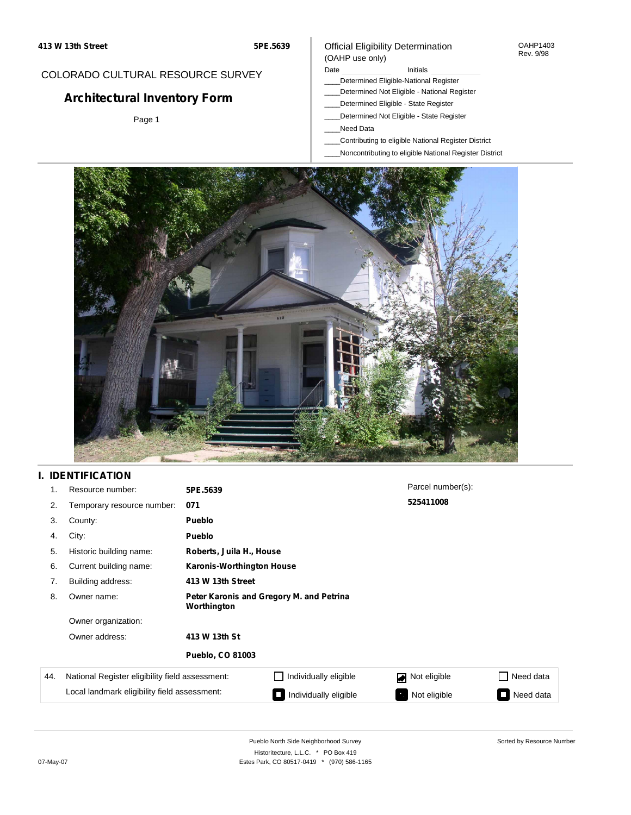#### OAHP1403 Rev. 9/98

## COLORADO CULTURAL RESOURCE SURVEY

# **Architectural Inventory Form**

Page 1

#### (OAHP use only) Date **Initials** Initials

- \_\_\_\_Determined Eligible-National Register
- \_\_\_\_Determined Not Eligible National Register
- \_\_\_\_Determined Eligible State Register

Official Eligibility Determination

- \_\_\_\_Determined Not Eligible State Register
- \_\_\_\_Need Data
- \_\_\_\_Contributing to eligible National Register District
- \_\_\_\_Noncontributing to eligible National Register District



## **I. IDENTIFICATION**

| 1.  | Resource number:                                | 5PE.5639                                                |                                  | Parcel number(s): |                         |  |  |  |
|-----|-------------------------------------------------|---------------------------------------------------------|----------------------------------|-------------------|-------------------------|--|--|--|
| 2.  | Temporary resource number:                      | 071                                                     |                                  | 525411008         |                         |  |  |  |
| 3.  | County:                                         | <b>Pueblo</b>                                           |                                  |                   |                         |  |  |  |
| 4.  | City:                                           | <b>Pueblo</b>                                           |                                  |                   |                         |  |  |  |
| 5.  | Historic building name:                         |                                                         | Roberts, Juila H., House         |                   |                         |  |  |  |
| 6.  | Current building name:                          |                                                         | <b>Karonis-Worthington House</b> |                   |                         |  |  |  |
| 7.  | Building address:                               | 413 W 13th Street                                       |                                  |                   |                         |  |  |  |
| 8.  | Owner name:                                     | Peter Karonis and Gregory M. and Petrina<br>Worthington |                                  |                   |                         |  |  |  |
|     | Owner organization:                             |                                                         |                                  |                   |                         |  |  |  |
|     | Owner address:                                  | 413 W 13th St                                           |                                  |                   |                         |  |  |  |
|     |                                                 | <b>Pueblo, CO 81003</b>                                 |                                  |                   |                         |  |  |  |
| 44. | National Register eligibility field assessment: |                                                         | Individually eligible            | Not eligible      | Need data               |  |  |  |
|     | Local landmark eligibility field assessment:    |                                                         | Individually eligible            | Not eligible      | Need data<br><b>COL</b> |  |  |  |

Pueblo North Side Neighborhood Survey Historitecture, L.L.C. \* PO Box 419 07-May-07 Estes Park, CO 80517-0419 \* (970) 586-1165 Sorted by Resource Number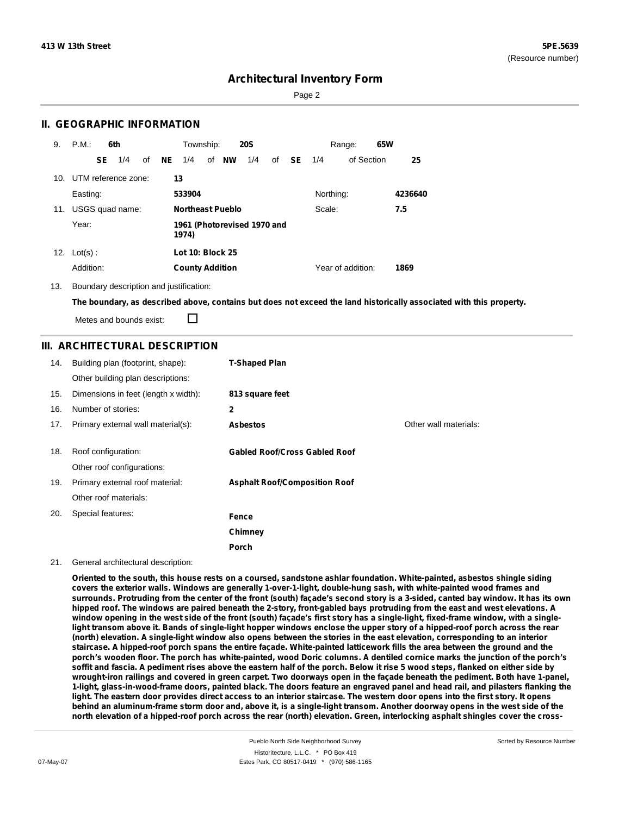Page 2

### **II. GEOGRAPHIC INFORMATION**

| 9.  | P.M.       |     | 6th                 |    |    | Township:               |                         | <b>20S</b>                  |    |           |           | Range:            | 65W |         |
|-----|------------|-----|---------------------|----|----|-------------------------|-------------------------|-----------------------------|----|-----------|-----------|-------------------|-----|---------|
|     |            | SE. | 1/4                 | of | NE | 1/4                     | of NW                   | 1/4                         | of | <b>SE</b> | 1/4       | of Section        |     | 25      |
| 10. |            |     | UTM reference zone: |    |    | 13                      |                         |                             |    |           |           |                   |     |         |
|     | Easting:   |     |                     |    |    | 533904                  |                         |                             |    |           | Northing: |                   |     | 4236640 |
| 11. |            |     | USGS quad name:     |    |    |                         | <b>Northeast Pueblo</b> |                             |    |           | Scale:    |                   |     | 7.5     |
|     | Year:      |     |                     |    |    | 1974)                   |                         | 1961 (Photorevised 1970 and |    |           |           |                   |     |         |
| 12. | $Lot(s)$ : |     |                     |    |    | <b>Lot 10: Block 25</b> |                         |                             |    |           |           |                   |     |         |
|     | Addition:  |     |                     |    |    | <b>County Addition</b>  |                         |                             |    |           |           | Year of addition: |     | 1869    |

13. Boundary description and justification:

The boundary, as described above, contains but does not exceed the land historically associated with this property.

П Metes and bounds exist:

### **III. ARCHITECTURAL DESCRIPTION**

| 14. | Building plan (footprint, shape):<br>Other building plan descriptions: | <b>T-Shaped Plan</b>                 |                       |
|-----|------------------------------------------------------------------------|--------------------------------------|-----------------------|
| 15. | Dimensions in feet (length x width):                                   | 813 square feet                      |                       |
| 16. | Number of stories:                                                     | 2                                    |                       |
| 17. | Primary external wall material(s):                                     | <b>Asbestos</b>                      | Other wall materials: |
| 18. | Roof configuration:<br>Other roof configurations:                      | <b>Gabled Roof/Cross Gabled Roof</b> |                       |
| 19. | Primary external roof material:                                        | <b>Asphalt Roof/Composition Roof</b> |                       |
|     | Other roof materials:                                                  |                                      |                       |
| 20. | Special features:                                                      | Fence                                |                       |
|     |                                                                        | Chimney                              |                       |
|     |                                                                        | Porch                                |                       |

#### 21. General architectural description:

Oriented to the south, this house rests on a coursed, sandstone ashlar foundation. White-painted, asbestos shingle siding **covers the exterior walls. Windows are generally 1-over-1-light, double-hung sash, with white-painted wood frames and** surrounds. Protruding from the center of the front (south) facade's second story is a 3-sided, canted bay window. It has its own hipped roof. The windows are paired beneath the 2-story, front-gabled bays protruding from the east and west elevations. A window opening in the west side of the front (south) façade's first story has a single-light, fixed-frame window, with a singlelight transom above it. Bands of single-light hopper windows enclose the upper story of a hipped-roof porch across the rear (north) elevation. A single-light window also opens between the stories in the east elevation, corresponding to an interior staircase. A hipped-roof porch spans the entire façade. White-painted latticework fills the area between the ground and the porch's wooden floor. The porch has white-painted, wood Doric columns. A dentiled cornice marks the junction of the porch's soffit and fascia. A pediment rises above the eastern half of the porch. Below it rise 5 wood steps, flanked on either side by wrought-iron railings and covered in green carpet. Two doorways open in the facade beneath the pediment. Both have 1-panel, 1-light, glass-in-wood-frame doors, painted black. The doors feature an engraved panel and head rail, and pilasters flanking the light. The eastern door provides direct access to an interior staircase. The western door opens into the first story. It opens behind an aluminum-frame storm door and, above it, is a single-light transom. Another doorway opens in the west side of the north elevation of a hipped-roof porch across the rear (north) elevation. Green, interlocking asphalt shingles cover the cross-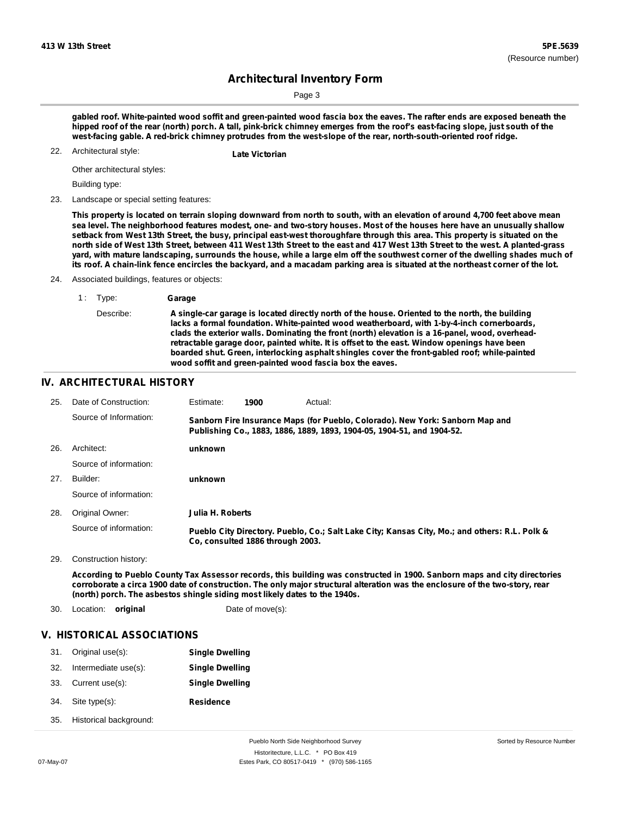Page 3

gabled roof. White-painted wood soffit and green-painted wood fascia box the eaves. The rafter ends are exposed beneath the hipped roof of the rear (north) porch. A tall, pink-brick chimney emerges from the roof's east-facing slope, just south of the **west-facing gable. A red-brick chimney protrudes from the west-slope of the rear, north-south-oriented roof ridge.**

Architectural style: 22. **Late Victorian**

Other architectural styles:

Building type:

23. Landscape or special setting features:

This property is located on terrain sloping downward from north to south, with an elevation of around 4,700 feet above mean sea level. The neighborhood features modest, one- and two-story houses. Most of the houses here have an unusually shallow setback from West 13th Street, the busy, principal east-west thoroughfare through this area. This property is situated on the north side of West 13th Street, between 411 West 13th Street to the east and 417 West 13th Street to the west. A planted-grass yard, with mature landscaping, surrounds the house, while a large elm off the southwest corner of the dwelling shades much of its roof. A chain-link fence encircles the backyard, and a macadam parking area is situated at the northeast corner of the lot.

24. Associated buildings, features or objects:

| 1: Type:  | Garage                                                                                                                                                                                                                                                                                                                                                                                                                                                                                                                                                       |
|-----------|--------------------------------------------------------------------------------------------------------------------------------------------------------------------------------------------------------------------------------------------------------------------------------------------------------------------------------------------------------------------------------------------------------------------------------------------------------------------------------------------------------------------------------------------------------------|
| Describe: | A single-car garage is located directly north of the house. Oriented to the north, the building<br>lacks a formal foundation. White-painted wood weatherboard, with 1-by-4-inch cornerboards,<br>clads the exterior walls. Dominating the front (north) elevation is a 16-panel, wood, overhead-<br>retractable garage door, painted white. It is offset to the east. Window openings have been<br>boarded shut. Green, interlocking asphalt shingles cover the front-gabled roof; while-painted<br>wood soffit and green-painted wood fascia box the eaves. |
|           |                                                                                                                                                                                                                                                                                                                                                                                                                                                                                                                                                              |

### **IV. ARCHITECTURAL HISTORY**

| 25. | Date of Construction:  | Estimate:        | 1900                             | Actual:                                                                                                                                                 |
|-----|------------------------|------------------|----------------------------------|---------------------------------------------------------------------------------------------------------------------------------------------------------|
|     | Source of Information: |                  |                                  | Sanborn Fire Insurance Maps (for Pueblo, Colorado). New York: Sanborn Map and<br>Publishing Co., 1883, 1886, 1889, 1893, 1904-05, 1904-51, and 1904-52. |
| 26. | Architect:             | unknown          |                                  |                                                                                                                                                         |
|     | Source of information: |                  |                                  |                                                                                                                                                         |
| 27. | Builder:               | unknown          |                                  |                                                                                                                                                         |
|     | Source of information: |                  |                                  |                                                                                                                                                         |
| 28. | Original Owner:        | Julia H. Roberts |                                  |                                                                                                                                                         |
|     | Source of information: |                  | Co. consulted 1886 through 2003. | Pueblo City Directory. Pueblo, Co.; Salt Lake City; Kansas City, Mo.; and others: R.L. Polk &                                                           |
|     |                        |                  |                                  |                                                                                                                                                         |

29. Construction history:

According to Pueblo County Tax Assessor records, this building was constructed in 1900. Sanborn maps and city directories corroborate a circa 1900 date of construction. The only major structural alteration was the enclosure of the two-story, rear **(north) porch. The asbestos shingle siding most likely dates to the 1940s.**

30. Location: **original** Date of move(s):

# **V. HISTORICAL ASSOCIATIONS**

| 31. | Original use(s):       | <b>Single Dwelling</b> |
|-----|------------------------|------------------------|
| 32. | Intermediate use(s):   | <b>Single Dwelling</b> |
| 33. | Current use(s):        | <b>Single Dwelling</b> |
| 34. | Site type(s):          | <b>Residence</b>       |
| 35. | Historical background: |                        |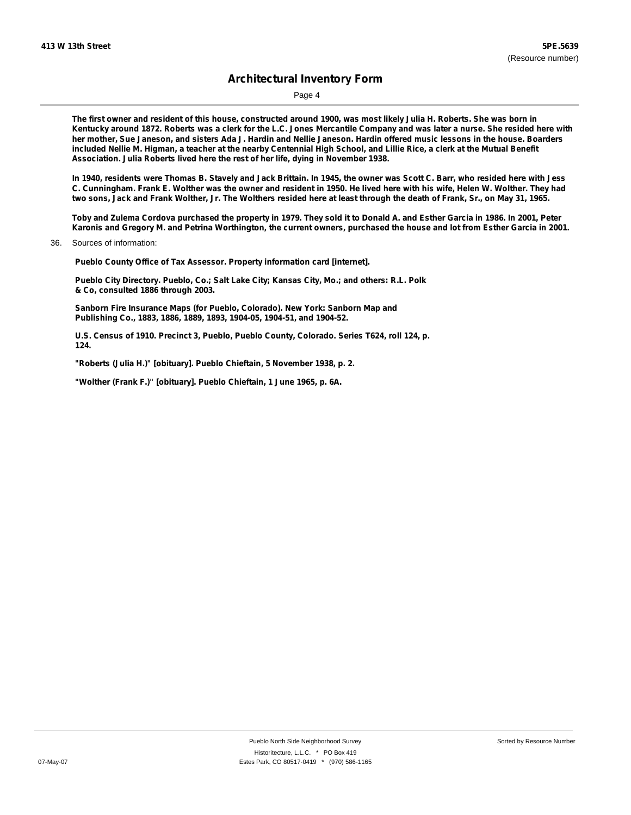Page 4

The first owner and resident of this house, constructed around 1900, was most likely Julia H. Roberts. She was born in Kentucky around 1872. Roberts was a clerk for the L.C. Jones Mercantile Company and was later a nurse. She resided here with her mother. Sue Janeson, and sisters Ada J. Hardin and Nellie Janeson. Hardin offered music lessons in the house. Boarders included Nellie M. Higman, a teacher at the nearby Centennial High School, and Lillie Rice, a clerk at the Mutual Benefit **Association. Julia Roberts lived here the rest of her life, dying in November 1938.**

In 1940, residents were Thomas B. Stavely and Jack Brittain. In 1945, the owner was Scott C. Barr, who resided here with Jess C. Cunningham. Frank E. Wolther was the owner and resident in 1950. He lived here with his wife, Helen W. Wolther. They had two sons, Jack and Frank Wolther, Jr. The Wolthers resided here at least through the death of Frank, Sr., on May 31, 1965.

Toby and Zulema Cordova purchased the property in 1979. They sold it to Donald A. and Esther Garcia in 1986. In 2001, Peter Karonis and Gregory M. and Petrina Worthington, the current owners, purchased the house and lot from Esther Garcia in 2001.

36. Sources of information:

**Pueblo County Office of Tax Assessor. Property information card [internet].**

**Pueblo City Directory. Pueblo, Co.; Salt Lake City; Kansas City, Mo.; and others: R.L. Polk & Co, consulted 1886 through 2003.**

**Sanborn Fire Insurance Maps (for Pueblo, Colorado). New York: Sanborn Map and Publishing Co., 1883, 1886, 1889, 1893, 1904-05, 1904-51, and 1904-52.**

**U.S. Census of 1910. Precinct 3, Pueblo, Pueblo County, Colorado. Series T624, roll 124, p. 124.**

**"Roberts (Julia H.)" [obituary]. Pueblo Chieftain, 5 November 1938, p. 2.**

**"Wolther (Frank F.)" [obituary]. Pueblo Chieftain, 1 June 1965, p. 6A.**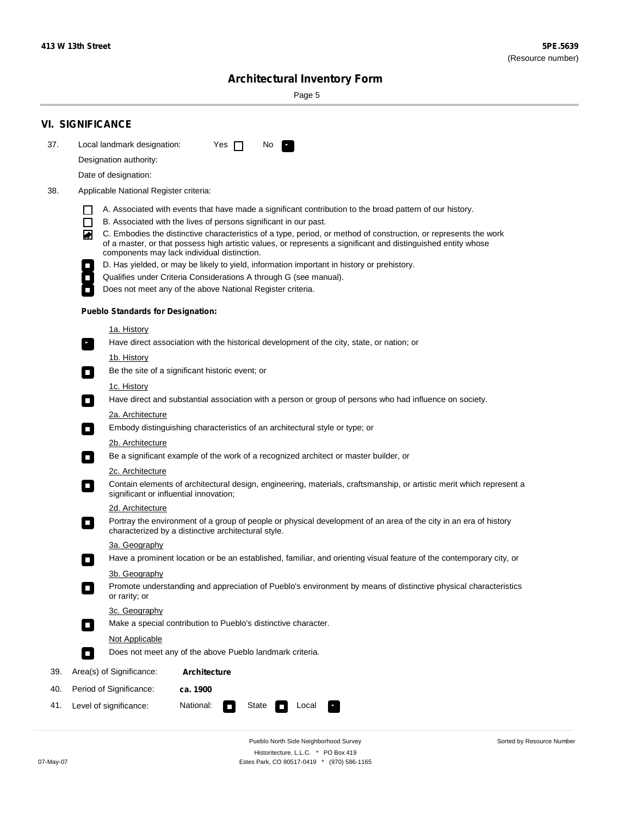۰

Sorted by Resource Number

# **Architectural Inventory Form**

Page 5

|     | <b>VI. SIGNIFICANCE</b>                                                                                                                                                                                                                                                               |  |  |  |  |  |  |
|-----|---------------------------------------------------------------------------------------------------------------------------------------------------------------------------------------------------------------------------------------------------------------------------------------|--|--|--|--|--|--|
| 37. | Local landmark designation:<br>Yes $\Box$<br>No.                                                                                                                                                                                                                                      |  |  |  |  |  |  |
|     | Designation authority:                                                                                                                                                                                                                                                                |  |  |  |  |  |  |
|     | Date of designation:                                                                                                                                                                                                                                                                  |  |  |  |  |  |  |
| 38. | Applicable National Register criteria:                                                                                                                                                                                                                                                |  |  |  |  |  |  |
|     | A. Associated with events that have made a significant contribution to the broad pattern of our history.<br>l.                                                                                                                                                                        |  |  |  |  |  |  |
|     | B. Associated with the lives of persons significant in our past.<br>$\Box$                                                                                                                                                                                                            |  |  |  |  |  |  |
|     | C. Embodies the distinctive characteristics of a type, period, or method of construction, or represents the work<br>◙<br>of a master, or that possess high artistic values, or represents a significant and distinguished entity whose<br>components may lack individual distinction. |  |  |  |  |  |  |
|     | D. Has yielded, or may be likely to yield, information important in history or prehistory.                                                                                                                                                                                            |  |  |  |  |  |  |
|     | Qualifies under Criteria Considerations A through G (see manual).                                                                                                                                                                                                                     |  |  |  |  |  |  |
|     | Does not meet any of the above National Register criteria.                                                                                                                                                                                                                            |  |  |  |  |  |  |
|     | <b>Pueblo Standards for Designation:</b>                                                                                                                                                                                                                                              |  |  |  |  |  |  |
|     | 1a. History                                                                                                                                                                                                                                                                           |  |  |  |  |  |  |
|     | Have direct association with the historical development of the city, state, or nation; or                                                                                                                                                                                             |  |  |  |  |  |  |
|     | <u>1b. History</u><br>Be the site of a significant historic event; or<br>$\mathcal{L}_{\mathcal{A}}$                                                                                                                                                                                  |  |  |  |  |  |  |
|     | 1c. History                                                                                                                                                                                                                                                                           |  |  |  |  |  |  |
|     | Have direct and substantial association with a person or group of persons who had influence on society.<br>$\blacksquare$                                                                                                                                                             |  |  |  |  |  |  |
|     | 2a. Architecture                                                                                                                                                                                                                                                                      |  |  |  |  |  |  |
|     | Embody distinguishing characteristics of an architectural style or type; or<br>$\overline{\phantom{a}}$                                                                                                                                                                               |  |  |  |  |  |  |
|     | 2b. Architecture                                                                                                                                                                                                                                                                      |  |  |  |  |  |  |
|     | Be a significant example of the work of a recognized architect or master builder, or<br>$\sim$                                                                                                                                                                                        |  |  |  |  |  |  |
|     | 2c. Architecture                                                                                                                                                                                                                                                                      |  |  |  |  |  |  |
|     | Contain elements of architectural design, engineering, materials, craftsmanship, or artistic merit which represent a<br>О<br>significant or influential innovation;                                                                                                                   |  |  |  |  |  |  |
|     | 2d. Architecture                                                                                                                                                                                                                                                                      |  |  |  |  |  |  |
|     | Portray the environment of a group of people or physical development of an area of the city in an era of history<br>$\Box$<br>characterized by a distinctive architectural style.                                                                                                     |  |  |  |  |  |  |
|     | 3a. Geography                                                                                                                                                                                                                                                                         |  |  |  |  |  |  |
|     | Have a prominent location or be an established, familiar, and orienting visual feature of the contemporary city, or                                                                                                                                                                   |  |  |  |  |  |  |
|     | 3b. Geography                                                                                                                                                                                                                                                                         |  |  |  |  |  |  |
|     | Promote understanding and appreciation of Pueblo's environment by means of distinctive physical characteristics<br>or rarity; or                                                                                                                                                      |  |  |  |  |  |  |
|     | 3c. Geography<br>Make a special contribution to Pueblo's distinctive character.<br>$\sim$                                                                                                                                                                                             |  |  |  |  |  |  |
|     | Not Applicable                                                                                                                                                                                                                                                                        |  |  |  |  |  |  |
|     | Does not meet any of the above Pueblo landmark criteria.<br>$\overline{\phantom{a}}$                                                                                                                                                                                                  |  |  |  |  |  |  |
| 39. | Area(s) of Significance:<br><b>Architecture</b>                                                                                                                                                                                                                                       |  |  |  |  |  |  |
| 40. | Period of Significance:<br>ca. 1900                                                                                                                                                                                                                                                   |  |  |  |  |  |  |
| 41. | National:<br>Level of significance:<br>State<br>Local<br>т,<br>П                                                                                                                                                                                                                      |  |  |  |  |  |  |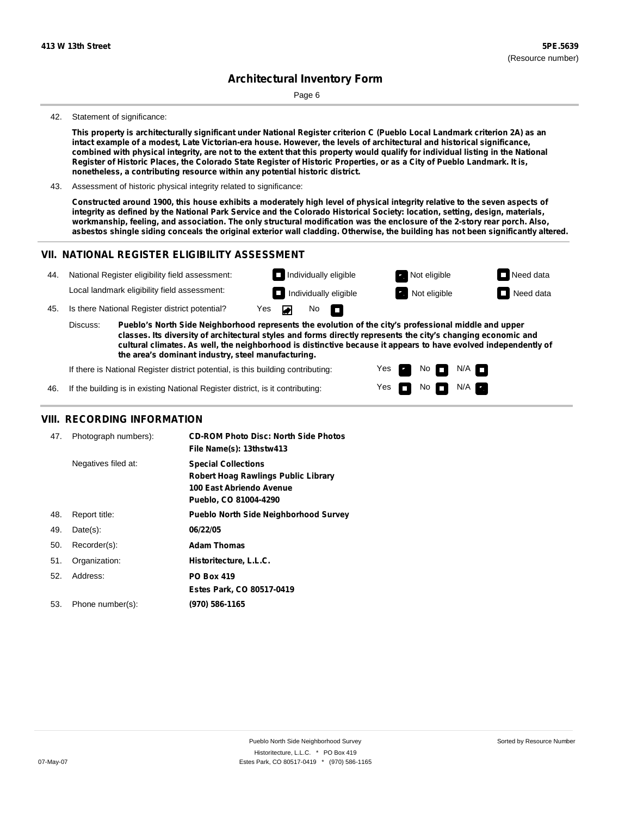Page 6

#### 42. Statement of significance:

This property is architecturally significant under National Register criterion C (Pueblo Local Landmark criterion 2A) as an intact example of a modest, Late Victorian-era house. However, the levels of architectural and historical significance, combined with physical integrity, are not to the extent that this property would qualify for individual listing in the National Register of Historic Places, the Colorado State Register of Historic Properties, or as a City of Pueblo Landmark. It is, **nonetheless, a contributing resource within any potential historic district.**

43. Assessment of historic physical integrity related to significance:

Constructed around 1900, this house exhibits a moderately high level of physical integrity relative to the seven aspects of integrity as defined by the National Park Service and the Colorado Historical Society: location, setting, design, materials, workmanship, feeling, and association. The only structural modification was the enclosure of the 2-story rear porch. Also, asbestos shingle siding conceals the original exterior wall cladding. Otherwise, the building has not been significantly altered.

> Yes Yes

No

No  $\blacksquare$  N/A

 $N/A$ 

#### **VII. NATIONAL REGISTER ELIGIBILITY ASSESSMENT**



If there is National Register district potential, is this building contributing:

If the building is in existing National Register district, is it contributing: 46.

#### **VIII. RECORDING INFORMATION**

| 47. | Photograph numbers): | <b>CD-ROM Photo Disc: North Side Photos</b><br>File Name(s): 13thstw413                                                |
|-----|----------------------|------------------------------------------------------------------------------------------------------------------------|
|     | Negatives filed at:  | <b>Special Collections</b><br>Robert Hoag Rawlings Public Library<br>100 East Abriendo Avenue<br>Pueblo, CO 81004-4290 |
| 48. | Report title:        | <b>Pueblo North Side Neighborhood Survey</b>                                                                           |
| 49. | $Date(s)$ :          | 06/22/05                                                                                                               |
| 50. | Recorder(s):         | <b>Adam Thomas</b>                                                                                                     |
| 51. | Organization:        | Historitecture, L.L.C.                                                                                                 |
| 52. | Address:             | <b>PO Box 419</b>                                                                                                      |
|     |                      | Estes Park, CO 80517-0419                                                                                              |
| 53. | Phone number(s):     | (970) 586-1165                                                                                                         |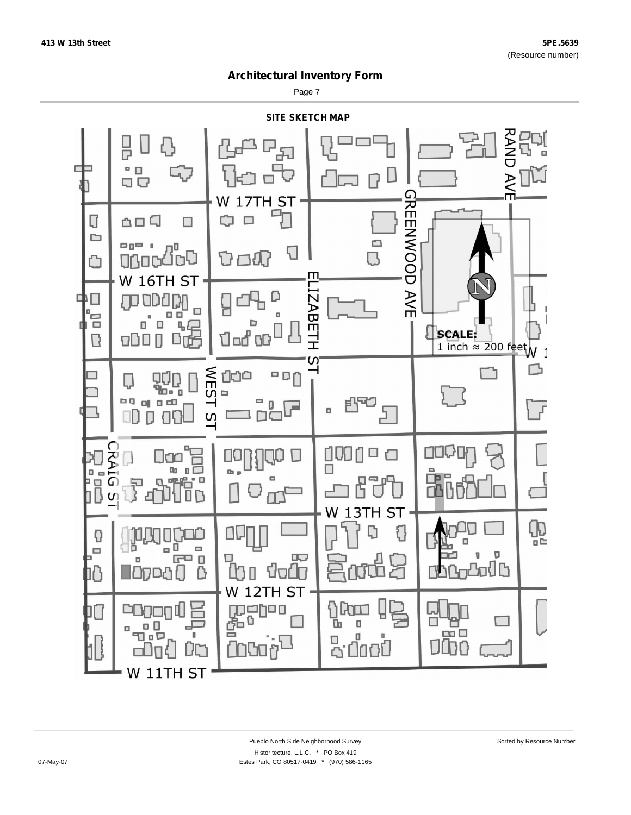Page 7